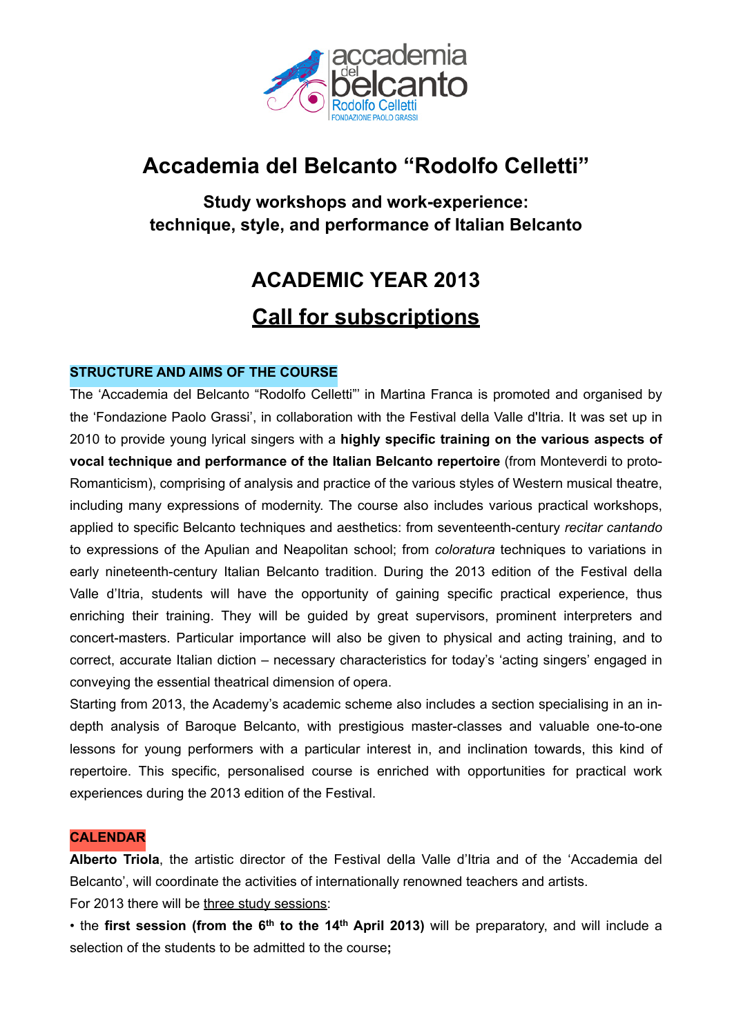

# **Accademia del Belcanto "Rodolfo Celletti"**

**Study workshops and work-experience: technique, style, and performance of Italian Belcanto**

# **ACADEMIC YEAR 2013 Call for subscriptions**

# **STRUCTURE AND AIMS OF THE COURSE**

The 'Accademia del Belcanto "Rodolfo Celletti"' in Martina Franca is promoted and organised by the 'Fondazione Paolo Grassi', in collaboration with the Festival della Valle d'Itria. It was set up in 2010 to provide young lyrical singers with a **highly specific training on the various aspects of vocal technique and performance of the Italian Belcanto repertoire** (from Monteverdi to proto-Romanticism), comprising of analysis and practice of the various styles of Western musical theatre, including many expressions of modernity. The course also includes various practical workshops, applied to specific Belcanto techniques and aesthetics: from seventeenth-century *recitar cantando* to expressions of the Apulian and Neapolitan school; from *coloratura* techniques to variations in early nineteenth-century Italian Belcanto tradition. During the 2013 edition of the Festival della Valle d'Itria, students will have the opportunity of gaining specific practical experience, thus enriching their training. They will be guided by great supervisors, prominent interpreters and concert-masters. Particular importance will also be given to physical and acting training, and to correct, accurate Italian diction – necessary characteristics for today's 'acting singers' engaged in conveying the essential theatrical dimension of opera.

Starting from 2013, the Academy's academic scheme also includes a section specialising in an indepth analysis of Baroque Belcanto, with prestigious master-classes and valuable one-to-one lessons for young performers with a particular interest in, and inclination towards, this kind of repertoire. This specific, personalised course is enriched with opportunities for practical work experiences during the 2013 edition of the Festival.

#### **CALENDAR**

**Alberto Triola**, the artistic director of the Festival della Valle d'Itria and of the 'Accademia del Belcanto', will coordinate the activities of internationally renowned teachers and artists.

For 2013 there will be three study sessions:

• the first session (from the 6<sup>th</sup> to the 14<sup>th</sup> April 2013) will be preparatory, and will include a selection of the students to be admitted to the course**;**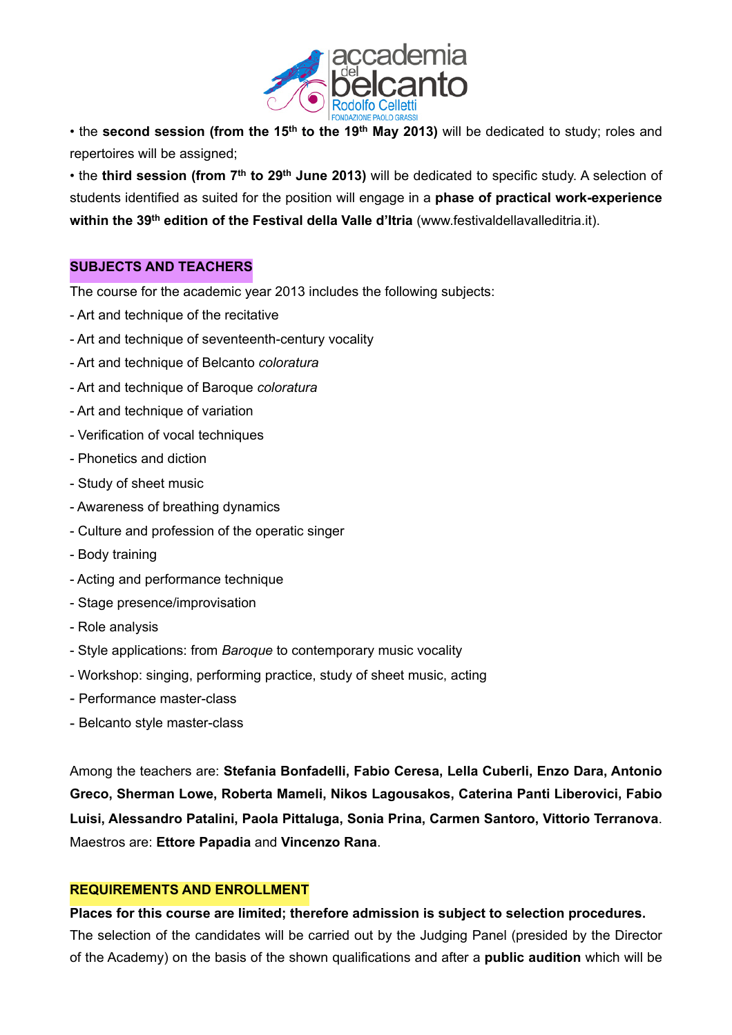

• the **second session (from the 15th to the 19th May 2013)** will be dedicated to study; roles and repertoires will be assigned;

• the **third session (from 7th to 29th June 2013)** will be dedicated to specific study. A selection of students identified as suited for the position will engage in a **phase of practical work-experience**  within the 39<sup>th</sup> edition of the Festival della Valle d'Itria [\(www.festivaldellavalleditria.it](http://www.festivaldellavalleditria.it)).

## **SUBJECTS AND TEACHERS**

The course for the academic year 2013 includes the following subjects:

- Art and technique of the recitative
- Art and technique of seventeenth-century vocality
- Art and technique of Belcanto *coloratura*
- Art and technique of Baroque *coloratura*
- Art and technique of variation
- Verification of vocal techniques
- Phonetics and diction
- Study of sheet music
- Awareness of breathing dynamics
- Culture and profession of the operatic singer
- Body training
- Acting and performance technique
- Stage presence/improvisation
- Role analysis
- Style applications: from *Baroque* to contemporary music vocality
- Workshop: singing, performing practice, study of sheet music, acting
- Performance master-class
- Belcanto style master-class

Among the teachers are: **Stefania Bonfadelli, Fabio Ceresa, Lella Cuberli, Enzo Dara, Antonio Greco, Sherman Lowe, Roberta Mameli, Nikos Lagousakos, Caterina Panti Liberovici, Fabio Luisi, Alessandro Patalini, Paola Pittaluga, Sonia Prina, Carmen Santoro, Vittorio Terranova**. Maestros are: **Ettore Papadia** and **Vincenzo Rana**.

#### **REQUIREMENTS AND ENROLLMENT**

**Places for this course are limited; therefore admission is subject to selection procedures.** The selection of the candidates will be carried out by the Judging Panel (presided by the Director of the Academy) on the basis of the shown qualifications and after a **public audition** which will be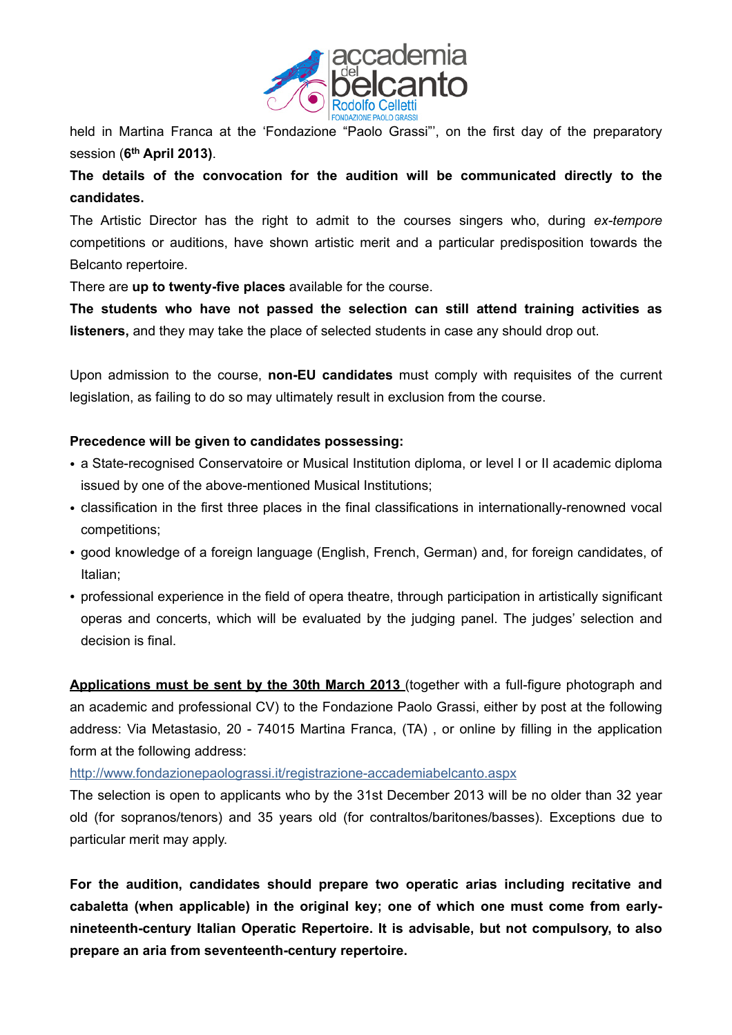

held in Martina Franca at the 'Fondazione "Paolo Grassi"', on the first day of the preparatory session (**6th April 2013)**.

**The details of the convocation for the audition will be communicated directly to the candidates.**

The Artistic Director has the right to admit to the courses singers who, during *ex-tempore* competitions or auditions, have shown artistic merit and a particular predisposition towards the Belcanto repertoire.

There are **up to twenty-five places** available for the course.

**The students who have not passed the selection can still attend training activities as listeners,** and they may take the place of selected students in case any should drop out.

Upon admission to the course, **non-EU candidates** must comply with requisites of the current legislation, as failing to do so may ultimately result in exclusion from the course.

## **Precedence will be given to candidates possessing:**

- a State-recognised Conservatoire or Musical Institution diploma, or level I or II academic diploma issued by one of the above-mentioned Musical Institutions;
- classification in the first three places in the final classifications in internationally-renowned vocal competitions;
- good knowledge of a foreign language (English, French, German) and, for foreign candidates, of Italian;
- professional experience in the field of opera theatre, through participation in artistically significant operas and concerts, which will be evaluated by the judging panel. The judges' selection and decision is final.

**Applications must be sent by the 30th March 2013** (together with a full-figure photograph and an academic and professional CV) to the Fondazione Paolo Grassi, either by post at the following address: Via Metastasio, 20 - 74015 Martina Franca, (TA) , or online by filling in the application form at the following address:

<http://www.fondazionepaolograssi.it/registrazione-accademiabelcanto.aspx>

The selection is open to applicants who by the 31st December 2013 will be no older than 32 year old (for sopranos/tenors) and 35 years old (for contraltos/baritones/basses). Exceptions due to particular merit may apply.

**For the audition, candidates should prepare two operatic arias including recitative and cabaletta (when applicable) in the original key; one of which one must come from earlynineteenth-century Italian Operatic Repertoire. It is advisable, but not compulsory, to also prepare an aria from seventeenth-century repertoire.**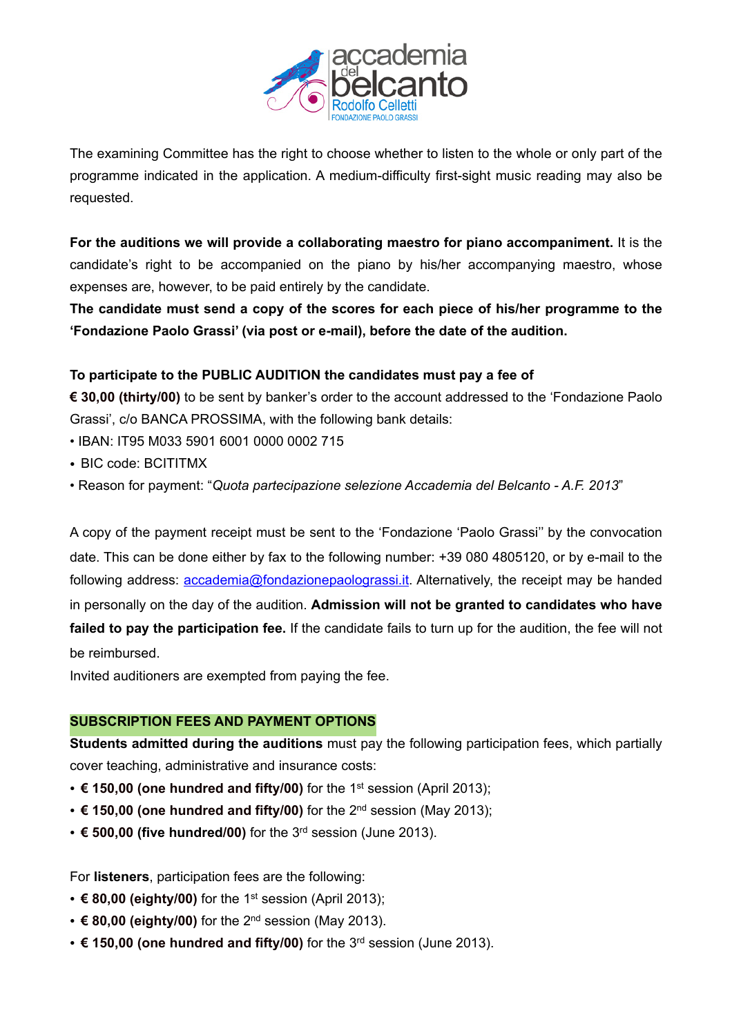

The examining Committee has the right to choose whether to listen to the whole or only part of the programme indicated in the application. A medium-difficulty first-sight music reading may also be requested.

**For the auditions we will provide a collaborating maestro for piano accompaniment.** It is the candidate's right to be accompanied on the piano by his/her accompanying maestro, whose expenses are, however, to be paid entirely by the candidate.

**The candidate must send a copy of the scores for each piece of his/her programme to the 'Fondazione Paolo Grassi' (via post or e-mail), before the date of the audition.** 

## **To participate to the PUBLIC AUDITION the candidates must pay a fee of**

**€ 30,00 (thirty/00)** to be sent by banker's order to the account addressed to the 'Fondazione Paolo Grassi', c/o BANCA PROSSIMA, with the following bank details:

- IBAN: IT95 M033 5901 6001 0000 0002 715
- BIC code: BCITITMX
- Reason for payment: "*Quota partecipazione selezione Accademia del Belcanto A.F. 2013*"

A copy of the payment receipt must be sent to the 'Fondazione 'Paolo Grassi'' by the convocation date. This can be done either by fax to the following number: +39 080 4805120, or by e-mail to the following address: [accademia@fondazionepaolograssi.it](mailto:accademia@fondazionepaolograssi.it). Alternatively, the receipt may be handed in personally on the day of the audition. **Admission will not be granted to candidates who have failed to pay the participation fee.** If the candidate fails to turn up for the audition, the fee will not be reimbursed.

Invited auditioners are exempted from paying the fee.

#### **SUBSCRIPTION FEES AND PAYMENT OPTIONS**

**Students admitted during the auditions** must pay the following participation fees, which partially cover teaching, administrative and insurance costs:

- **€ 150,00 (one hundred and fifty/00)** for the 1st session (April 2013);
- **€ 150,00 (one hundred and fifty/00)** for the 2nd session (May 2013);
- **€ 500,00 (five hundred/00)** for the 3rd session (June 2013).

For **listeners**, participation fees are the following:

- **€ 80,00 (eighty/00)** for the 1st session (April 2013);
- **€ 80,00 (eighty/00)** for the 2nd session (May 2013).
- **€ 150,00 (one hundred and fifty/00)** for the 3rd session (June 2013).